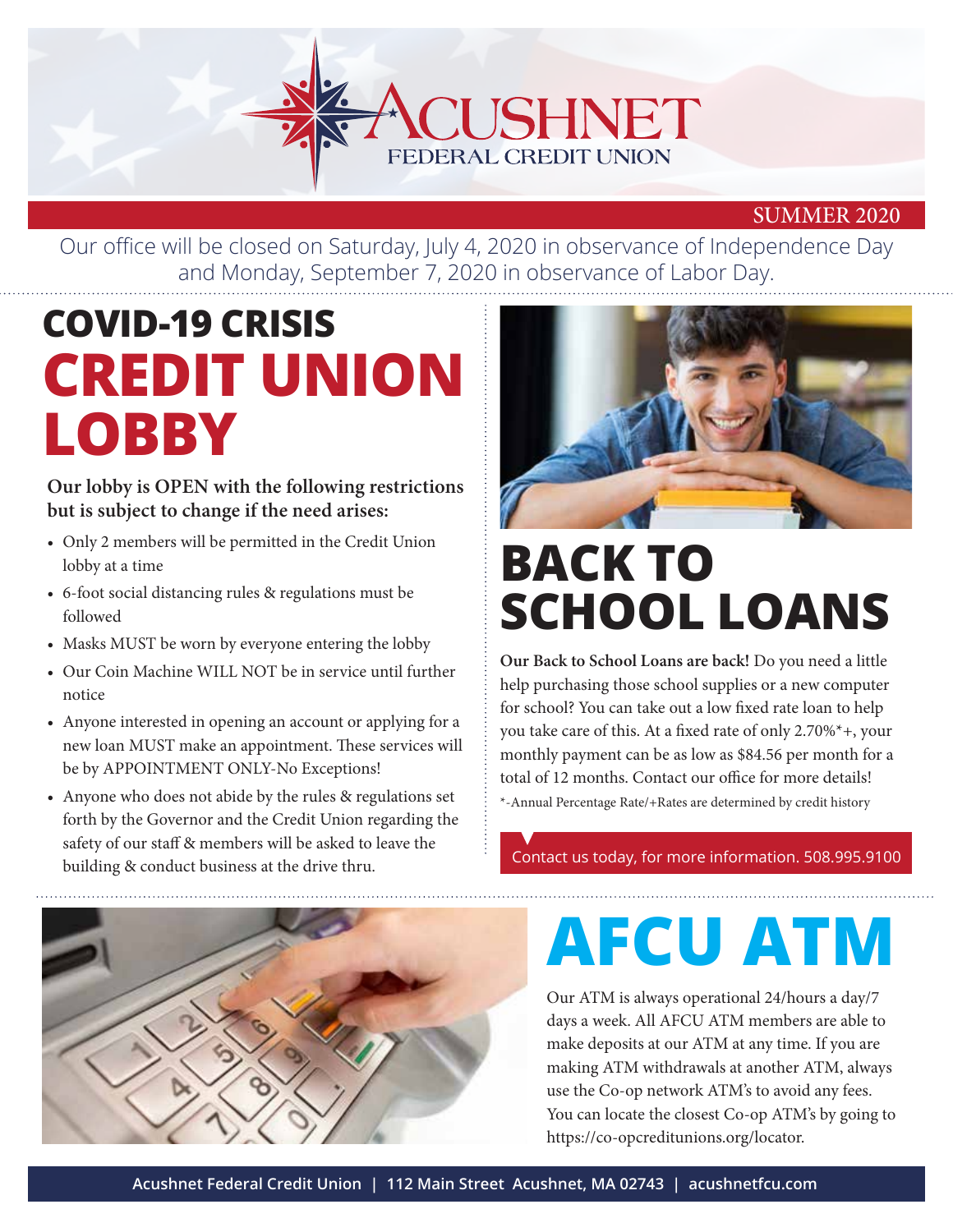

#### SUMMER 2020

Our office will be closed on Saturday, July 4, 2020 in observance of Independence Day and Monday, September 7, 2020 in observance of Labor Day.

### **COVID-19 CRISIS CREDIT UNION LOBBY**

#### **Our lobby is OPEN with the following restrictions but is subject to change if the need arises:**

- Only 2 members will be permitted in the Credit Union lobby at a time
- 6-foot social distancing rules & regulations must be followed
- Masks MUST be worn by everyone entering the lobby
- Our Coin Machine WILL NOT be in service until further notice
- Anyone interested in opening an account or applying for a new loan MUST make an appointment. These services will be by APPOINTMENT ONLY-No Exceptions!
- Anyone who does not abide by the rules & regulations set forth by the Governor and the Credit Union regarding the safety of our staff & members will be asked to leave the building & conduct business at the drive thru.



### **BACK TO SCHOOL LOANS**

**Our Back to School Loans are back!** Do you need a little help purchasing those school supplies or a new computer for school? You can take out a low fixed rate loan to help you take care of this. At a fixed rate of only 2.70%\*+, your monthly payment can be as low as \$84.56 per month for a total of 12 months. Contact our office for more details! \*-Annual Percentage Rate/+Rates are determined by credit history

Contact us today, for more information. 508.995.9100



## **AFCU ATM**

Our ATM is always operational 24/hours a day/7 days a week. All AFCU ATM members are able to make deposits at our ATM at any time. If you are making ATM withdrawals at another ATM, always use the Co-op network ATM's to avoid any fees. You can locate the closest Co-op ATM's by going to https://co-opcreditunions.org/locator.